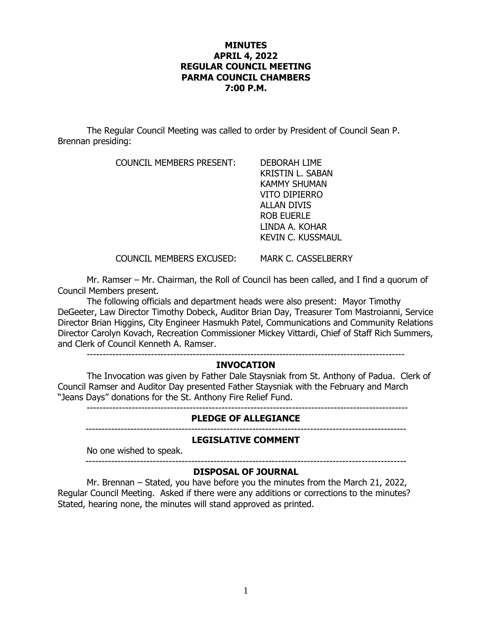## **MINUTES APRIL 4, 2022 REGULAR COUNCIL MEETING PARMA COUNCIL CHAMBERS 7:00 P.M.**

The Regular Council Meeting was called to order by President of Council Sean P. Brennan presiding:

COUNCIL MEMBERS PRESENT: DEBORAH LIME

KRISTIN L. SABAN KAMMY SHUMAN VITO DIPIERRO ALLAN DIVIS ROB EUERLE LINDA A. KOHAR KEVIN C. KUSSMAUL

COUNCIL MEMBERS EXCUSED: MARK C. CASSELBERRY

Mr. Ramser – Mr. Chairman, the Roll of Council has been called, and I find a quorum of Council Members present.

The following officials and department heads were also present: Mayor Timothy DeGeeter, Law Director Timothy Dobeck, Auditor Brian Day, Treasurer Tom Mastroianni, Service Director Brian Higgins, City Engineer Hasmukh Patel, Communications and Community Relations Director Carolyn Kovach, Recreation Commissioner Mickey Vittardi, Chief of Staff Rich Summers, and Clerk of Council Kenneth A. Ramser.

### ---------------------------------------------------------------------------------------------------

### **INVOCATION**

The Invocation was given by Father Dale Staysniak from St. Anthony of Padua. Clerk of Council Ramser and Auditor Day presented Father Staysniak with the February and March "Jeans Days" donations for the St. Anthony Fire Relief Fund.

----------------------------------------------------------------------------------------------------

### **PLEDGE OF ALLEGIANCE**

----------------------------------------------------------------------------------------------------

### **LEGISLATIVE COMMENT**

No one wished to speak. ----------------------------------------------------------------------------------------------------

### **DISPOSAL OF JOURNAL**

Mr. Brennan – Stated, you have before you the minutes from the March 21, 2022, Regular Council Meeting. Asked if there were any additions or corrections to the minutes? Stated, hearing none, the minutes will stand approved as printed.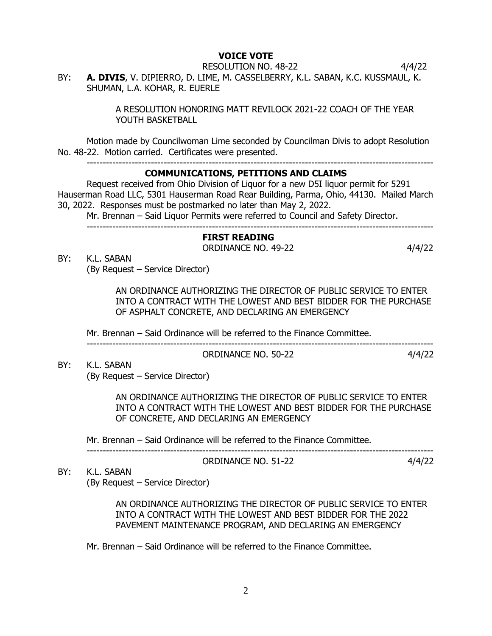## **VOICE VOTE**

RESOLUTION NO. 48-22 4/4/22

BY: **A. DIVIS**, V. DIPIERRO, D. LIME, M. CASSELBERRY, K.L. SABAN, K.C. KUSSMAUL, K. SHUMAN, L.A. KOHAR, R. EUERLE

> A RESOLUTION HONORING MATT REVILOCK 2021-22 COACH OF THE YEAR YOUTH BASKETBALL

Motion made by Councilwoman Lime seconded by Councilman Divis to adopt Resolution No. 48-22. Motion carried. Certificates were presented.

------------------------------------------------------------------------------------------------------------

## **COMMUNICATIONS, PETITIONS AND CLAIMS**

Request received from Ohio Division of Liquor for a new D5I liquor permit for 5291 Hauserman Road LLC, 5301 Hauserman Road Rear Building, Parma, Ohio, 44130. Mailed March 30, 2022. Responses must be postmarked no later than May 2, 2022.

Mr. Brennan – Said Liquor Permits were referred to Council and Safety Director.

------------------------------------------------------------------------------------------------------------

### **FIRST READING** ORDINANCE NO. 49-22 4/4/22

BY: K.L. SABAN (By Request – Service Director)

> AN ORDINANCE AUTHORIZING THE DIRECTOR OF PUBLIC SERVICE TO ENTER INTO A CONTRACT WITH THE LOWEST AND BEST BIDDER FOR THE PURCHASE OF ASPHALT CONCRETE, AND DECLARING AN EMERGENCY

Mr. Brennan – Said Ordinance will be referred to the Finance Committee.

## ------------------------------------------------------------------------------------------------------------ ORDINANCE NO. 50-22 4/4/22

BY: K.L. SABAN (By Request – Service Director)

> AN ORDINANCE AUTHORIZING THE DIRECTOR OF PUBLIC SERVICE TO ENTER INTO A CONTRACT WITH THE LOWEST AND BEST BIDDER FOR THE PURCHASE OF CONCRETE, AND DECLARING AN EMERGENCY

Mr. Brennan – Said Ordinance will be referred to the Finance Committee.

------------------------------------------------------------------------------------------------------------

ORDINANCE NO. 51-22 4/4/22

BY: K.L. SABAN (By Request – Service Director)

> AN ORDINANCE AUTHORIZING THE DIRECTOR OF PUBLIC SERVICE TO ENTER INTO A CONTRACT WITH THE LOWEST AND BEST BIDDER FOR THE 2022 PAVEMENT MAINTENANCE PROGRAM, AND DECLARING AN EMERGENCY

Mr. Brennan – Said Ordinance will be referred to the Finance Committee.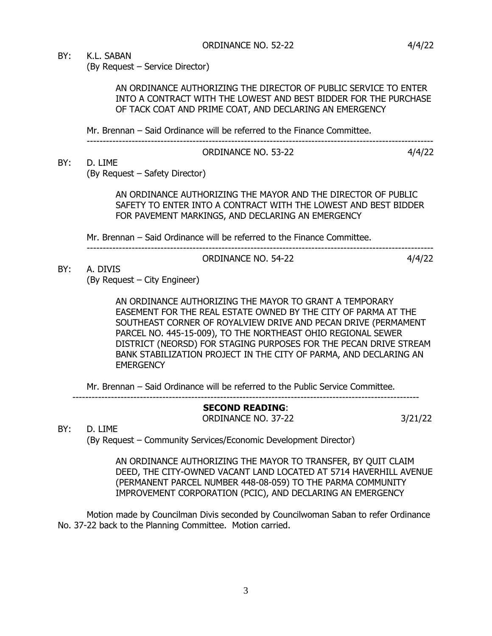BY: K.L. SABAN

BY: D. LIME

(By Request – Service Director)

AN ORDINANCE AUTHORIZING THE DIRECTOR OF PUBLIC SERVICE TO ENTER INTO A CONTRACT WITH THE LOWEST AND BEST BIDDER FOR THE PURCHASE OF TACK COAT AND PRIME COAT, AND DECLARING AN EMERGENCY

Mr. Brennan – Said Ordinance will be referred to the Finance Committee.

### ------------------------------------------------------------------------------------------------------------ ORDINANCE NO. 53-22 4/4/22

(By Request – Safety Director)

AN ORDINANCE AUTHORIZING THE MAYOR AND THE DIRECTOR OF PUBLIC SAFETY TO ENTER INTO A CONTRACT WITH THE LOWEST AND BEST BIDDER FOR PAVEMENT MARKINGS, AND DECLARING AN EMERGENCY

Mr. Brennan – Said Ordinance will be referred to the Finance Committee.

------------------------------------------------------------------------------------------------------------ ORDINANCE NO. 54-22 4/4/22

BY: A. DIVIS (By Request – City Engineer)

> AN ORDINANCE AUTHORIZING THE MAYOR TO GRANT A TEMPORARY EASEMENT FOR THE REAL ESTATE OWNED BY THE CITY OF PARMA AT THE SOUTHEAST CORNER OF ROYALVIEW DRIVE AND PECAN DRIVE (PERMAMENT PARCEL NO. 445-15-009), TO THE NORTHEAST OHIO REGIONAL SEWER DISTRICT (NEORSD) FOR STAGING PURPOSES FOR THE PECAN DRIVE STREAM BANK STABILIZATION PROJECT IN THE CITY OF PARMA, AND DECLARING AN **EMERGENCY**

Mr. Brennan – Said Ordinance will be referred to the Public Service Committee.

**SECOND READING**: ORDINANCE NO. 37-22 3/21/22

BY: D. LIME

(By Request – Community Services/Economic Development Director)

------------------------------------------------------------------------------------------------------------

AN ORDINANCE AUTHORIZING THE MAYOR TO TRANSFER, BY QUIT CLAIM DEED, THE CITY-OWNED VACANT LAND LOCATED AT 5714 HAVERHILL AVENUE (PERMANENT PARCEL NUMBER 448-08-059) TO THE PARMA COMMUNITY IMPROVEMENT CORPORATION (PCIC), AND DECLARING AN EMERGENCY

Motion made by Councilman Divis seconded by Councilwoman Saban to refer Ordinance No. 37-22 back to the Planning Committee. Motion carried.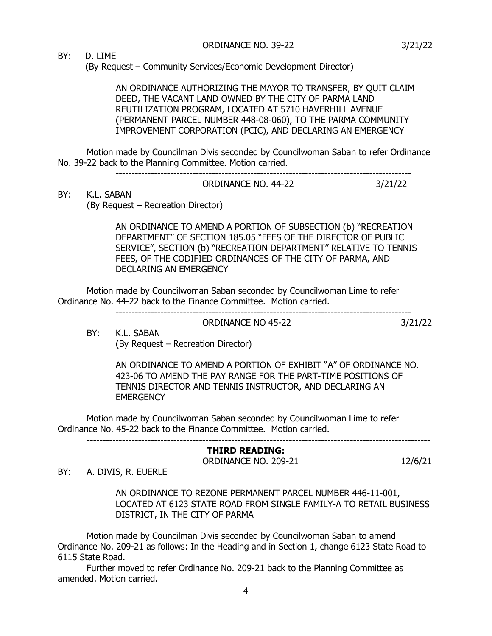BY: D. LIME

(By Request – Community Services/Economic Development Director)

 AN ORDINANCE AUTHORIZING THE MAYOR TO TRANSFER, BY QUIT CLAIM DEED, THE VACANT LAND OWNED BY THE CITY OF PARMA LAND REUTILIZATION PROGRAM, LOCATED AT 5710 HAVERHILL AVENUE (PERMANENT PARCEL NUMBER 448-08-060), TO THE PARMA COMMUNITY IMPROVEMENT CORPORATION (PCIC), AND DECLARING AN EMERGENCY

Motion made by Councilman Divis seconded by Councilwoman Saban to refer Ordinance No. 39-22 back to the Planning Committee. Motion carried.

ORDINANCE NO. 44-22 3/21/22

--------------------------------------------------------------------------------------------

BY: K.L. SABAN

(By Request – Recreation Director)

AN ORDINANCE TO AMEND A PORTION OF SUBSECTION (b) "RECREATION DEPARTMENT" OF SECTION 185.05 "FEES OF THE DIRECTOR OF PUBLIC SERVICE", SECTION (b) "RECREATION DEPARTMENT" RELATIVE TO TENNIS FEES, OF THE CODIFIED ORDINANCES OF THE CITY OF PARMA, AND DECLARING AN EMERGENCY

Motion made by Councilwoman Saban seconded by Councilwoman Lime to refer Ordinance No. 44-22 back to the Finance Committee. Motion carried.

--------------------------------------------------------------------------------------------

ORDINANCE NO 45-22 3/21/22

BY: K.L. SABAN (By Request – Recreation Director)

> AN ORDINANCE TO AMEND A PORTION OF EXHIBIT "A" OF ORDINANCE NO. 423-06 TO AMEND THE PAY RANGE FOR THE PART-TIME POSITIONS OF TENNIS DIRECTOR AND TENNIS INSTRUCTOR, AND DECLARING AN **EMERGENCY**

Motion made by Councilwoman Saban seconded by Councilwoman Lime to refer Ordinance No. 45-22 back to the Finance Committee. Motion carried.

-----------------------------------------------------------------------------------------------------------

**THIRD READING:** ORDINANCE NO. 209-21 12/6/21

BY: A. DIVIS, R. EUERLE

AN ORDINANCE TO REZONE PERMANENT PARCEL NUMBER 446-11-001, LOCATED AT 6123 STATE ROAD FROM SINGLE FAMILY-A TO RETAIL BUSINESS DISTRICT, IN THE CITY OF PARMA

Motion made by Councilman Divis seconded by Councilwoman Saban to amend Ordinance No. 209-21 as follows: In the Heading and in Section 1, change 6123 State Road to 6115 State Road.

Further moved to refer Ordinance No. 209-21 back to the Planning Committee as amended. Motion carried.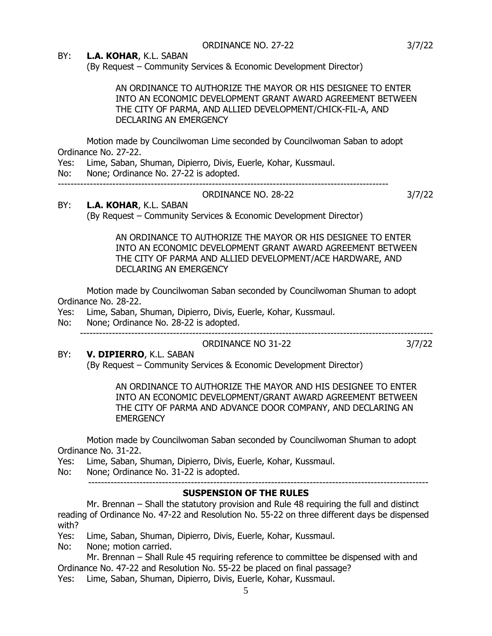## BY: **L.A. KOHAR**, K.L. SABAN

(By Request – Community Services & Economic Development Director)

AN ORDINANCE TO AUTHORIZE THE MAYOR OR HIS DESIGNEE TO ENTER INTO AN ECONOMIC DEVELOPMENT GRANT AWARD AGREEMENT BETWEEN THE CITY OF PARMA, AND ALLIED DEVELOPMENT/CHICK-FIL-A, AND DECLARING AN EMERGENCY

Motion made by Councilwoman Lime seconded by Councilwoman Saban to adopt Ordinance No. 27-22.

Yes: Lime, Saban, Shuman, Dipierro, Divis, Euerle, Kohar, Kussmaul.

No: None; Ordinance No. 27-22 is adopted.

-------------------------------------------------------------------------------------------------------

### ORDINANCE NO. 28-22 3/7/22

## BY: **L.A. KOHAR**, K.L. SABAN

(By Request – Community Services & Economic Development Director)

AN ORDINANCE TO AUTHORIZE THE MAYOR OR HIS DESIGNEE TO ENTER INTO AN ECONOMIC DEVELOPMENT GRANT AWARD AGREEMENT BETWEEN THE CITY OF PARMA AND ALLIED DEVELOPMENT/ACE HARDWARE, AND DECLARING AN EMERGENCY

Motion made by Councilwoman Saban seconded by Councilwoman Shuman to adopt Ordinance No. 28-22.

- Yes: Lime, Saban, Shuman, Dipierro, Divis, Euerle, Kohar, Kussmaul.
- No: None; Ordinance No. 28-22 is adopted.

# ORDINANCE NO 31-22 3/7/22

BY: **V. DIPIERRO**, K.L. SABAN (By Request – Community Services & Economic Development Director)

> AN ORDINANCE TO AUTHORIZE THE MAYOR AND HIS DESIGNEE TO ENTER INTO AN ECONOMIC DEVELOPMENT/GRANT AWARD AGREEMENT BETWEEN THE CITY OF PARMA AND ADVANCE DOOR COMPANY, AND DECLARING AN **EMERGENCY**

Motion made by Councilwoman Saban seconded by Councilwoman Shuman to adopt Ordinance No. 31-22.

Yes: Lime, Saban, Shuman, Dipierro, Divis, Euerle, Kohar, Kussmaul.

No: None; Ordinance No. 31-22 is adopted.

#### ---------------------------------------------------------------------------------------------------------- **SUSPENSION OF THE RULES**

Mr. Brennan – Shall the statutory provision and Rule 48 requiring the full and distinct reading of Ordinance No. 47-22 and Resolution No. 55-22 on three different days be dispensed with?

Yes: Lime, Saban, Shuman, Dipierro, Divis, Euerle, Kohar, Kussmaul.

No: None; motion carried.

Mr. Brennan – Shall Rule 45 requiring reference to committee be dispensed with and Ordinance No. 47-22 and Resolution No. 55-22 be placed on final passage? Yes: Lime, Saban, Shuman, Dipierro, Divis, Euerle, Kohar, Kussmaul.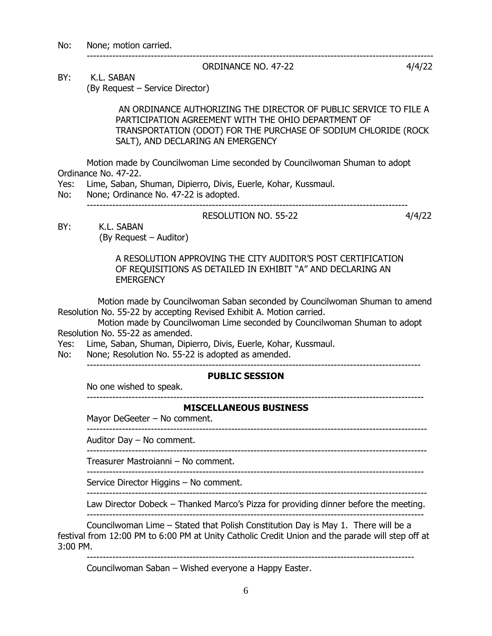No: None; motion carried.

### ORDINANCE NO. 47-22 4/4/22

BY: K.L. SABAN (By Request – Service Director)

> AN ORDINANCE AUTHORIZING THE DIRECTOR OF PUBLIC SERVICE TO FILE A PARTICIPATION AGREEMENT WITH THE OHIO DEPARTMENT OF TRANSPORTATION (ODOT) FOR THE PURCHASE OF SODIUM CHLORIDE (ROCK SALT), AND DECLARING AN EMERGENCY

------------------------------------------------------------------------------------------------------------

RESOLUTION NO. 55-22 4/4/22

Motion made by Councilwoman Lime seconded by Councilwoman Shuman to adopt Ordinance No. 47-22.

Yes: Lime, Saban, Shuman, Dipierro, Divis, Euerle, Kohar, Kussmaul.

No: None; Ordinance No. 47-22 is adopted.

 $-$ 

BY: K.L. SABAN

(By Request – Auditor)

 A RESOLUTION APPROVING THE CITY AUDITOR'S POST CERTIFICATION OF REQUISITIONS AS DETAILED IN EXHIBIT "A" AND DECLARING AN **EMERGENCY** 

 Motion made by Councilwoman Saban seconded by Councilwoman Shuman to amend Resolution No. 55-22 by accepting Revised Exhibit A. Motion carried.

 Motion made by Councilwoman Lime seconded by Councilwoman Shuman to adopt Resolution No. 55-22 as amended.

Yes: Lime, Saban, Shuman, Dipierro, Divis, Euerle, Kohar, Kussmaul.

No: None; Resolution No. 55-22 is adopted as amended.

--------------------------------------------------------------------------------------------------------

## **PUBLIC SESSION**

No one wished to speak. ---------------------------------------------------------------------------------------------------------

## **MISCELLANEOUS BUSINESS**

Mayor DeGeeter – No comment.

----------------------------------------------------------------------------------------------------------

Auditor Day – No comment.

---------------------------------------------------------------------------------------------------------- Treasurer Mastroianni – No comment.

---------------------------------------------------------------------------------------------------------

Service Director Higgins – No comment.

----------------------------------------------------------------------------------------------------------

Law Director Dobeck – Thanked Marco's Pizza for providing dinner before the meeting. ---------------------------------------------------------------------------------------------------------

Councilwoman Lime – Stated that Polish Constitution Day is May 1. There will be a festival from 12:00 PM to 6:00 PM at Unity Catholic Credit Union and the parade will step off at 3:00 PM.

------------------------------------------------------------------------------------------------------ Councilwoman Saban – Wished everyone a Happy Easter.